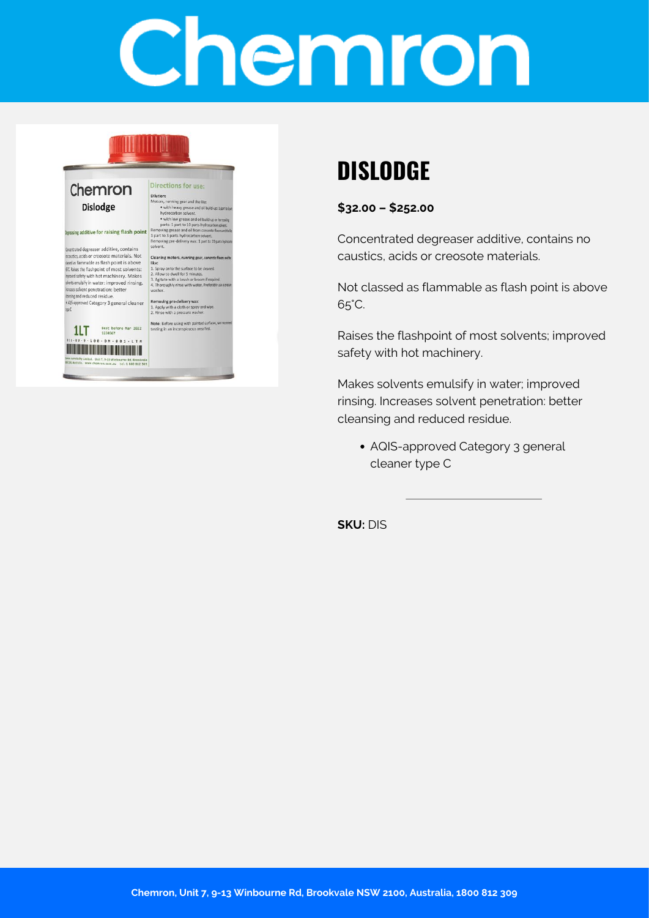# Chemron

### Chemron Dislodge

#### ing additive for raising flash point

rentrated degreaser additive, contains noustics, acids or creosote materials. Not dealers and of the discrimination of the state of the state of the state of the state of the state of the state of the state of the state of the state of the state of the state of the state of the state of the state of the wents emulsify in water: improved rinsing. wases solvent penetration: better Busing and reduced residue.<br>HOS-approved Category 3 general cleaner  $+105$ 

Dilution:<br>
Motors, running gear and the like:<br>
"with heavy greas and oil build<br>
"hydrocarbon solvent.<br>
"with our grease and oil build<br>
parts in Jan to 10 parts hydrocarbon solvent.<br>
Removing grease and oil from concerne<br>
R Cleaning motors, ru

Directions for use:

like:<br>
1. Spray onto the surface to be cleaned.<br>
2. Allow to dwell for 5 minutes.<br>
3. Agitate with a brush or broom if requ<br>
4. Thoroughly rinse with water. Preferal

Removing pre-delivery wax:<br>1. Apply with a cloth or spray and wipe.<br>2. Rinse with a pressure washer.

Note: Before using with painted surfacesting in an inconspicuous area first.



## **DISLODGE**

**\$32.00 – \$252.00**

Concentrated degreaser additive, contains no caustics, acids or creosote materials.

Not classed as flammable as flash point is above 65°C.

Raises the flashpoint of most solvents; improved safety with hot machinery.

Makes solvents emulsify in water; improved rinsing. Increases solvent penetration: better cleansing and reduced residue.

AQIS-approved Category 3 general cleaner type C

**SKU:** DIS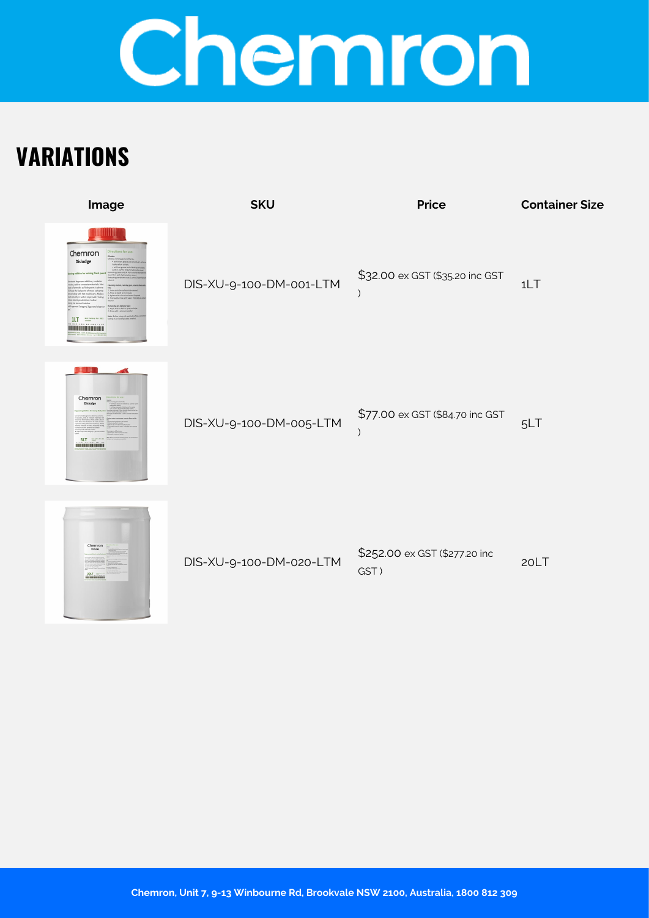## Chemron

## **VARIATIONS**

| Image                                                                                           | <b>SKU</b>              | <b>Price</b>                          | <b>Container Size</b> |
|-------------------------------------------------------------------------------------------------|-------------------------|---------------------------------------|-----------------------|
| Chemron<br>Dislodge<br>one materials. No<br>as flash point is about<br>t machinery, Make<br>1LT | DIS-XU-9-100-DM-001-LTM | \$32.00 ex GST (\$35.20 inc GST       | 1LT                   |
| Chemron<br><b>SLT</b><br>                                                                       | DIS-XU-9-100-DM-005-LTM | \$77.00 ex GST (\$84.70 inc GST       | 5LT                   |
| Chemron<br><b>20LT</b>                                                                          | DIS-XU-9-100-DM-020-LTM | \$252.00 ex GST (\$277.20 inc<br>GST) | 20LT                  |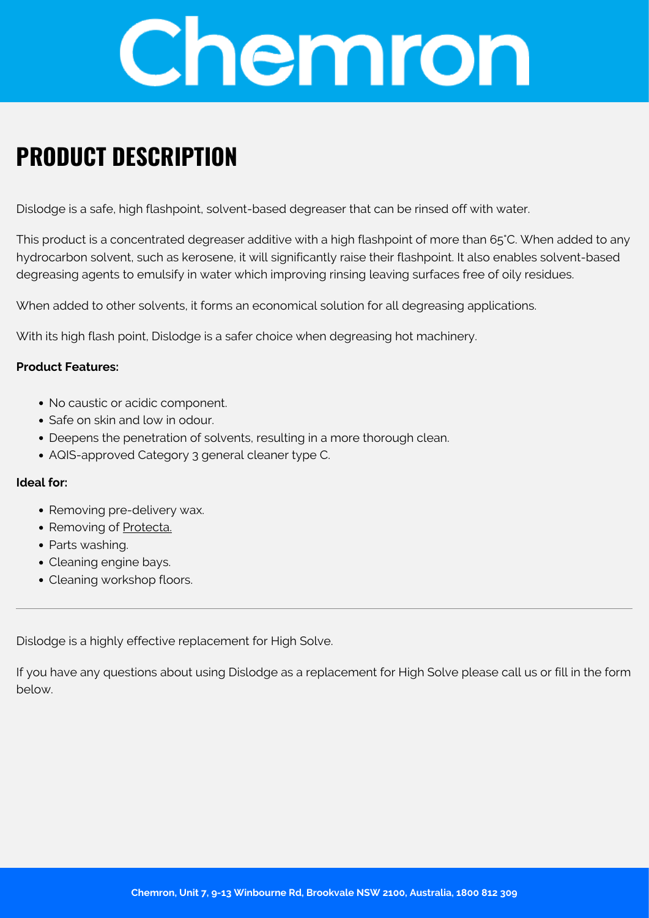

## **PRODUCT DESCRIPTION**

Dislodge is a safe, high flashpoint, solvent-based degreaser that can be rinsed off with water.

This product is a concentrated degreaser additive with a high flashpoint of more than 65°C. When added to any hydrocarbon solvent, such as kerosene, it will significantly raise their flashpoint. It also enables solvent-based degreasing agents to emulsify in water which improving rinsing leaving surfaces free of oily residues.

When added to other solvents, it forms an economical solution for all degreasing applications.

With its high flash point, Dislodge is a safer choice when degreasing hot machinery.

#### **Product Features:**

- No caustic or acidic component.
- Safe on skin and low in odour
- Deepens the penetration of solvents, resulting in a more thorough clean.
- AQIS-approved Category 3 general cleaner type C.

#### **Ideal for:**

- Removing pre-delivery wax.
- Removing of [Protecta.](https://chemron.com.au/shop/surface-coating/protecta/)
- Parts washing.
- Cleaning engine bays.
- Cleaning workshop floors.

Dislodge is a highly effective replacement for High Solve.

If you have any questions about using Dislodge as a replacement for High Solve please call us or fill in the form below.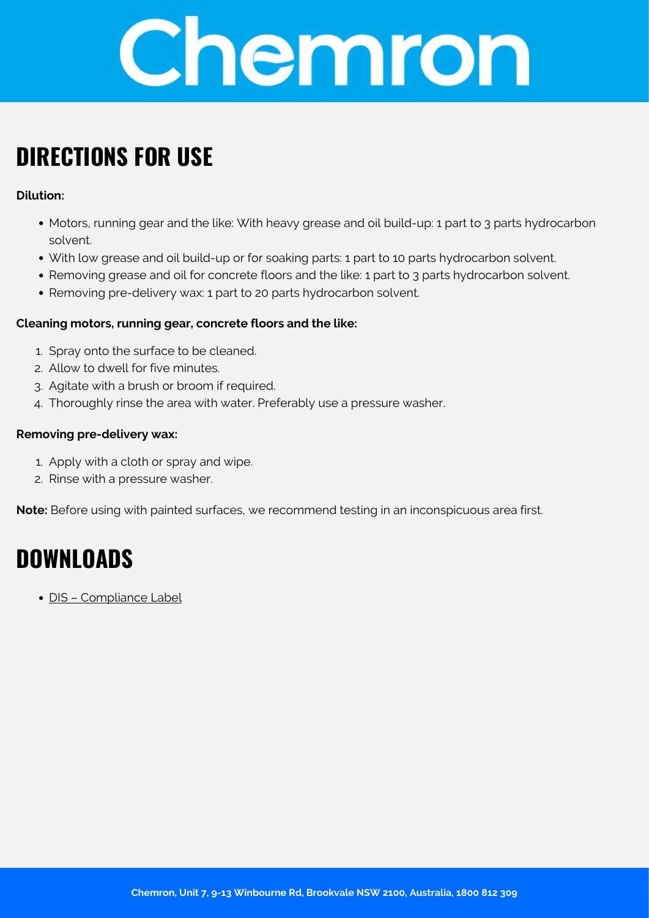

## **DIRECTIONS FOR USE**

### **Dilution:**

- Motors, running gear and the like: With heavy grease and oil build-up: 1 part to 3 parts hydrocarbon solvent.
- With low grease and oil build-up or for soaking parts: 1 part to 10 parts hydrocarbon solvent.
- Removing grease and oil for concrete floors and the like: 1 part to 3 parts hydrocarbon solvent.
- Removing pre-delivery wax: 1 part to 20 parts hydrocarbon solvent.

### **Cleaning motors, running gear, concrete floors and the like:**

- 1. Spray onto the surface to be cleaned.
- 2. Allow to dwell for five minutes.
- 3. Agitate with a brush or broom if required.
- 4. Thoroughly rinse the area with water. Preferably use a pressure washer.

### **Removing pre-delivery wax:**

- 1. Apply with a cloth or spray and wipe.
- 2. Rinse with a pressure washer.

**Note:** Before using with painted surfaces, we recommend testing in an inconspicuous area first.

## **DOWNLOADS**

[DIS – Compliance Label](https://chemron.com.au/product-label/DIS - Compliance Label.pdf)